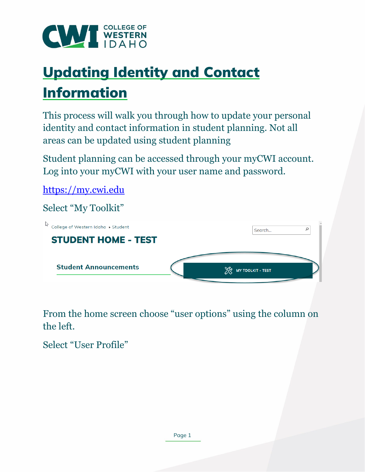

# Updating Identity and Contact Information

This process will walk you through how to update your personal identity and contact information in student planning. Not all areas can be updated using student planning

Student planning can be accessed through your myCWI account. Log into your myCWI with your user name and password.

[https://my.cwi.edu](https://my.cwi.edu/) 

Select "My Toolkit"

| College of Western Idaho ▶ Student | Search                           |
|------------------------------------|----------------------------------|
| <b>STUDENT HOME - TEST</b>         |                                  |
|                                    |                                  |
| <b>Student Announcements</b>       | ৼৣড়<br><b>MY TOOLKIT - TEST</b> |

From the home screen choose "user options" using the column on the left.

Select "User Profile"

Page 1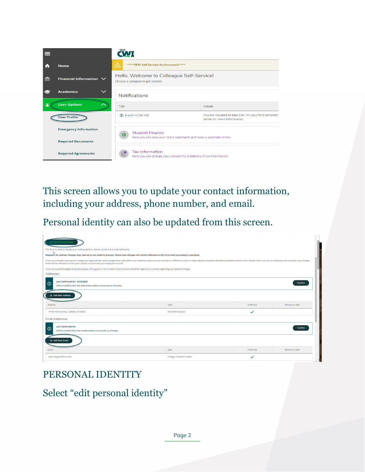| m       | <b>Home</b>                      | ⚠<br>****TEST Self-Service Environment****                                                                                                                                                    |                                                                                     |  |
|---------|----------------------------------|-----------------------------------------------------------------------------------------------------------------------------------------------------------------------------------------------|-------------------------------------------------------------------------------------|--|
| 孟       | Financial Information $\vee$     | Hello, Welcome to Colleague Self-Service!<br>Choose a category to get started.                                                                                                                |                                                                                     |  |
|         | <b>Academics</b><br>$\checkmark$ | <b>Notifications</b>                                                                                                                                                                          |                                                                                     |  |
| $\circ$ | <b>User Options</b>              | Title                                                                                                                                                                                         | <b>Details</b>                                                                      |  |
|         | <b>User Profile</b>              | <b>101</b> Enroll in CWI 101                                                                                                                                                                  | You are required to take CWI 101 your first semester<br>below for more information. |  |
|         | <b>Emergency Information</b>     | <b>Student Finance</b><br>Here you can view your latest statement and make a payment online.<br><b>Tax Information</b><br>Here you can change your consent for e-delivery of tax information. |                                                                                     |  |
|         | <b>Required Documents</b>        |                                                                                                                                                                                               |                                                                                     |  |
|         | <b>Required Agreements</b>       |                                                                                                                                                                                               |                                                                                     |  |

This screen allows you to update your contact information, including your address, phone number, and email.

Personal identity can also be updated from this screen.

| $\vartheta$ Edit Personal Identity                                                                                                                                                                                                                                                                               |                                                                                                                                                            |           |                |  |  |
|------------------------------------------------------------------------------------------------------------------------------------------------------------------------------------------------------------------------------------------------------------------------------------------------------------------|------------------------------------------------------------------------------------------------------------------------------------------------------------|-----------|----------------|--|--|
| This form is used to change your mailing address, phone numbers and email addresses.                                                                                                                                                                                                                             |                                                                                                                                                            |           |                |  |  |
|                                                                                                                                                                                                                                                                                                                  | D<br>Requests for address changes may take up to one week to process. Please note changes will not be reflected on this form until processing is complete. |           |                |  |  |
| If you are a student and need to change your legal address (with changes that could affect your residency status such as moving to a different county or state), please complete a Residency Redetermination Form. Please note<br>made will be reflected on both your student account and your employee account. |                                                                                                                                                            |           |                |  |  |
| If you are a benefit-eligible employee, please click here for a list of health insurance and retirement agencies to contact regarding your address change.                                                                                                                                                       |                                                                                                                                                            |           |                |  |  |
| Addresses                                                                                                                                                                                                                                                                                                        |                                                                                                                                                            |           |                |  |  |
| <b>Last Confirmed On: 12/23/2020</b><br>Confirm<br>$\odot$<br>Click to confirm that the address(es) below is accurate as of today.                                                                                                                                                                               |                                                                                                                                                            |           |                |  |  |
| + Add New Address                                                                                                                                                                                                                                                                                                |                                                                                                                                                            |           |                |  |  |
| Address                                                                                                                                                                                                                                                                                                          | Type                                                                                                                                                       | Preferred | Remove or Edit |  |  |
| 19150 Kenney Way, Caldwell, ID 83605                                                                                                                                                                                                                                                                             | Home/Permanent                                                                                                                                             | ✓         |                |  |  |
| <b>Email Addresses</b>                                                                                                                                                                                                                                                                                           |                                                                                                                                                            |           |                |  |  |
| <b>Last Confirmed On:</b><br>$\odot$<br><b>Confirm</b><br>Click to confirm that the email(s) below is accurate as of today.                                                                                                                                                                                      |                                                                                                                                                            |           |                |  |  |
| + Add New Email                                                                                                                                                                                                                                                                                                  |                                                                                                                                                            |           |                |  |  |
| Email                                                                                                                                                                                                                                                                                                            | Type                                                                                                                                                       | Preferred | Remove or Edit |  |  |
| piperskoglund@cwi.edu                                                                                                                                                                                                                                                                                            | College of Western Idaho                                                                                                                                   |           |                |  |  |

### PERSONAL IDENTITY

Select "edit personal identity"

Page 2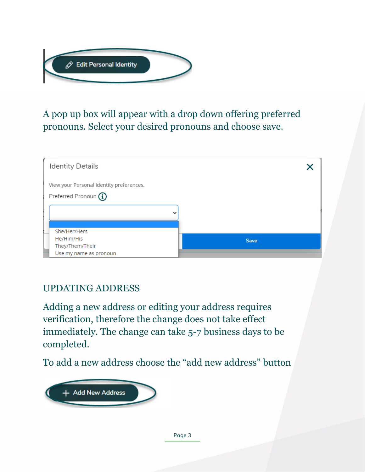

## A pop up box will appear with a drop down offering preferred pronouns. Select your desired pronouns and choose save.



### UPDATING ADDRESS

Adding a new address or editing your address requires verification, therefore the change does not take effect immediately. The change can take 5-7 business days to be completed.

To add a new address choose the "add new address" button

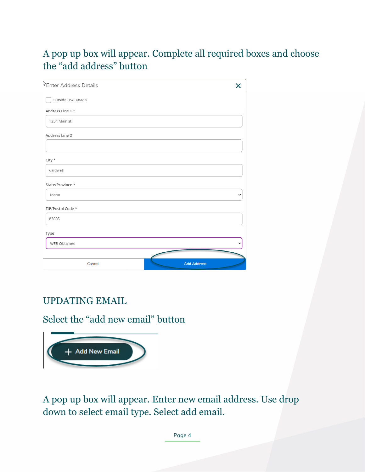## A pop up box will appear. Complete all required boxes and choose the "add address" button

| *Enter Address Details |                    |
|------------------------|--------------------|
| Outside US/Canada      |                    |
| Address Line 1 *       |                    |
| 1234 Main st           |                    |
| Address Line 2         |                    |
|                        |                    |
| City $*$               |                    |
| Caldwell               |                    |
| State/Province *       |                    |
| Idaho                  | v                  |
| ZIP/Postal Code *      |                    |
| 83605                  |                    |
| Type                   |                    |
| WEB Obtained           |                    |
|                        |                    |
| Cancel                 | <b>Add Address</b> |

## UPDATING EMAIL

#### Select the "add new email" button



A pop up box will appear. Enter new email address. Use drop down to select email type. Select add email.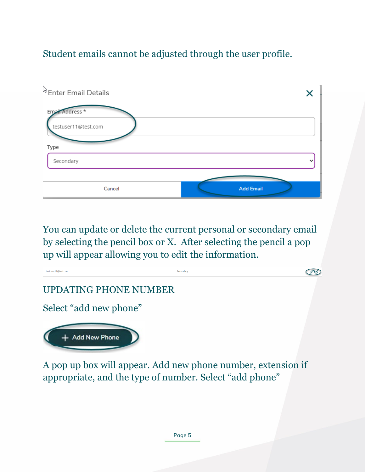# Student emails cannot be adjusted through the user profile.



You can update or delete the current personal or secondary email by selecting the pencil box or X. After selecting the pencil a pop up will appear allowing you to edit the information.



appropriate, and the type of number. Select "add phone"